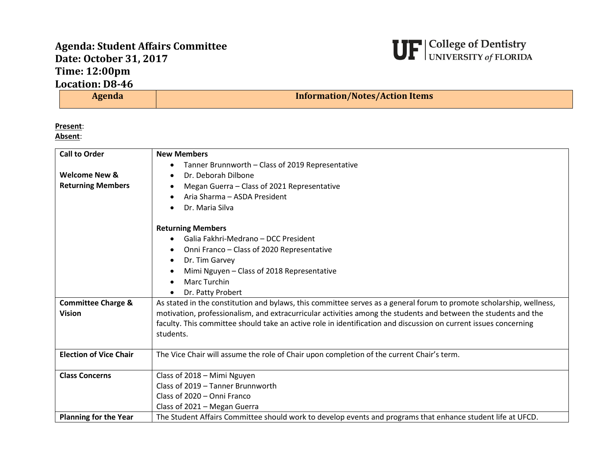## **Agenda: Student Affairs Committee Date: October 31, 2017 Time: 12:00pm Location: D8-46**



| ation: D8-46 |                                       |
|--------------|---------------------------------------|
| Agenda       | <b>Information/Notes/Action Items</b> |

**Present**:

**Absent**:

| <b>Call to Order</b>          | <b>New Members</b>                                                                                                   |
|-------------------------------|----------------------------------------------------------------------------------------------------------------------|
|                               | Tanner Brunnworth - Class of 2019 Representative                                                                     |
| <b>Welcome New &amp;</b>      | Dr. Deborah Dilbone                                                                                                  |
| <b>Returning Members</b>      | Megan Guerra - Class of 2021 Representative<br>٠                                                                     |
|                               | Aria Sharma - ASDA President                                                                                         |
|                               | Dr. Maria Silva<br>$\bullet$                                                                                         |
|                               | <b>Returning Members</b>                                                                                             |
|                               | Galia Fakhri-Medrano - DCC President                                                                                 |
|                               | Onni Franco - Class of 2020 Representative                                                                           |
|                               | Dr. Tim Garvey<br>$\bullet$                                                                                          |
|                               | Mimi Nguyen - Class of 2018 Representative                                                                           |
|                               | <b>Marc Turchin</b>                                                                                                  |
|                               | Dr. Patty Probert                                                                                                    |
| <b>Committee Charge &amp;</b> | As stated in the constitution and bylaws, this committee serves as a general forum to promote scholarship, wellness, |
| <b>Vision</b>                 | motivation, professionalism, and extracurricular activities among the students and between the students and the      |
|                               | faculty. This committee should take an active role in identification and discussion on current issues concerning     |
|                               | students.                                                                                                            |
| <b>Election of Vice Chair</b> | The Vice Chair will assume the role of Chair upon completion of the current Chair's term.                            |
| <b>Class Concerns</b>         | Class of 2018 - Mimi Nguyen                                                                                          |
|                               | Class of 2019 - Tanner Brunnworth                                                                                    |
|                               | Class of 2020 - Onni Franco                                                                                          |
|                               | Class of 2021 - Megan Guerra                                                                                         |
| <b>Planning for the Year</b>  | The Student Affairs Committee should work to develop events and programs that enhance student life at UFCD.          |